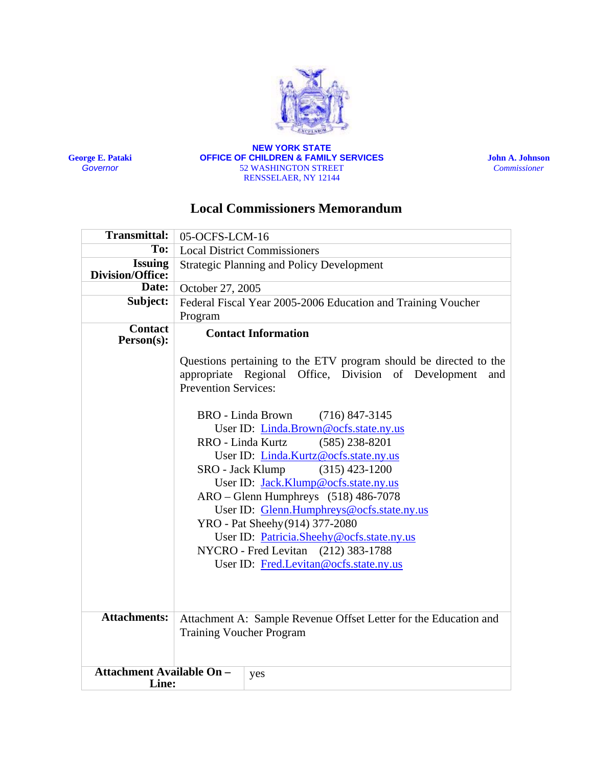

**George E. Pataki** *Governor*

#### **NEW YORK STATE OFFICE OF CHILDREN & FAMILY SERVICES** 52 WASHINGTON STREET RENSSELAER, NY 12144

**John A. Johnson**  *Commissioner*

# **Local Commissioners Memorandum**

| <b>Transmittal:</b>                       | 05-OCFS-LCM-16                                                                                                                                                                                                                                                                                                                                                                                                                                                                                                                                                                                                                                                                                                     |     |
|-------------------------------------------|--------------------------------------------------------------------------------------------------------------------------------------------------------------------------------------------------------------------------------------------------------------------------------------------------------------------------------------------------------------------------------------------------------------------------------------------------------------------------------------------------------------------------------------------------------------------------------------------------------------------------------------------------------------------------------------------------------------------|-----|
| To:                                       | <b>Local District Commissioners</b>                                                                                                                                                                                                                                                                                                                                                                                                                                                                                                                                                                                                                                                                                |     |
| <b>Issuing</b><br><b>Division/Office:</b> | <b>Strategic Planning and Policy Development</b>                                                                                                                                                                                                                                                                                                                                                                                                                                                                                                                                                                                                                                                                   |     |
| Date:                                     | October 27, 2005                                                                                                                                                                                                                                                                                                                                                                                                                                                                                                                                                                                                                                                                                                   |     |
| Subject:                                  | Federal Fiscal Year 2005-2006 Education and Training Voucher                                                                                                                                                                                                                                                                                                                                                                                                                                                                                                                                                                                                                                                       |     |
|                                           | Program                                                                                                                                                                                                                                                                                                                                                                                                                                                                                                                                                                                                                                                                                                            |     |
| <b>Contact</b><br>Person(s):              | <b>Contact Information</b><br>Questions pertaining to the ETV program should be directed to the<br>appropriate Regional Office, Division of Development<br>and<br><b>Prevention Services:</b><br><b>BRO</b> - Linda Brown<br>$(716)$ 847-3145<br>User ID: Linda.Brown@ocfs.state.ny.us<br>$(585)$ 238-8201<br>RRO - Linda Kurtz<br>User ID: Linda.Kurtz@ocfs.state.ny.us<br>$(315)$ 423-1200<br>SRO - Jack Klump<br>User ID: Jack.Klump@ocfs.state.ny.us<br>$ARO - Glenn$ Humphreys $(518)$ 486-7078<br>User ID: Glenn.Humphreys@ocfs.state.ny.us<br>YRO - Pat Sheehy (914) 377-2080<br>User ID: Patricia.Sheehy@ocfs.state.ny.us<br>NYCRO - Fred Levitan (212) 383-1788<br>User ID: Fred.Levitan@ocfs.state.ny.us |     |
|                                           |                                                                                                                                                                                                                                                                                                                                                                                                                                                                                                                                                                                                                                                                                                                    |     |
|                                           |                                                                                                                                                                                                                                                                                                                                                                                                                                                                                                                                                                                                                                                                                                                    |     |
| <b>Attachments:</b>                       | Attachment A: Sample Revenue Offset Letter for the Education and<br><b>Training Voucher Program</b>                                                                                                                                                                                                                                                                                                                                                                                                                                                                                                                                                                                                                |     |
| <b>Attachment Available On -</b><br>Line: |                                                                                                                                                                                                                                                                                                                                                                                                                                                                                                                                                                                                                                                                                                                    | yes |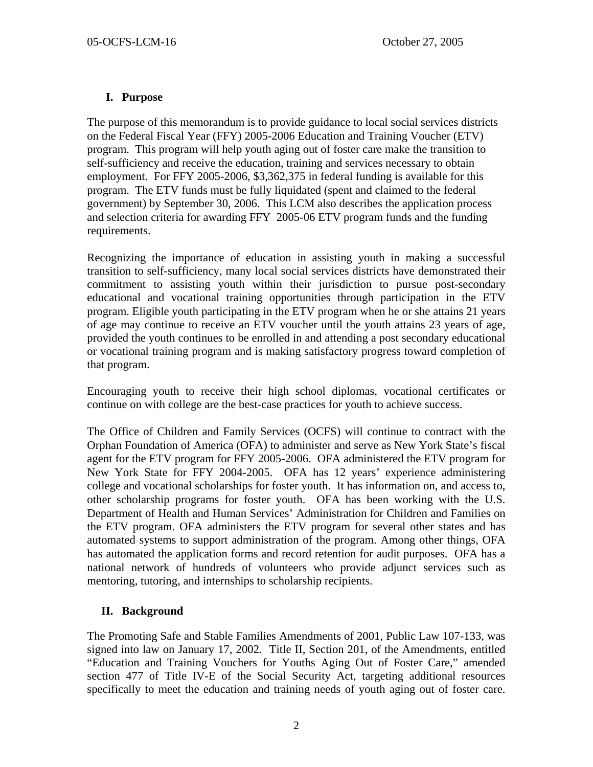## **I. Purpose**

The purpose of this memorandum is to provide guidance to local social services districts on the Federal Fiscal Year (FFY) 2005-2006 Education and Training Voucher (ETV) program. This program will help youth aging out of foster care make the transition to self-sufficiency and receive the education, training and services necessary to obtain employment. For FFY 2005-2006, \$3,362,375 in federal funding is available for this program. The ETV funds must be fully liquidated (spent and claimed to the federal government) by September 30, 2006. This LCM also describes the application process and selection criteria for awarding FFY 2005-06 ETV program funds and the funding requirements.

Recognizing the importance of education in assisting youth in making a successful transition to self-sufficiency, many local social services districts have demonstrated their commitment to assisting youth within their jurisdiction to pursue post-secondary educational and vocational training opportunities through participation in the ETV program. Eligible youth participating in the ETV program when he or she attains 21 years of age may continue to receive an ETV voucher until the youth attains 23 years of age, provided the youth continues to be enrolled in and attending a post secondary educational or vocational training program and is making satisfactory progress toward completion of that program.

Encouraging youth to receive their high school diplomas, vocational certificates or continue on with college are the best-case practices for youth to achieve success.

The Office of Children and Family Services (OCFS) will continue to contract with the Orphan Foundation of America (OFA) to administer and serve as New York State's fiscal agent for the ETV program for FFY 2005-2006. OFA administered the ETV program for New York State for FFY 2004-2005. OFA has 12 years' experience administering college and vocational scholarships for foster youth. It has information on, and access to, other scholarship programs for foster youth. OFA has been working with the U.S. Department of Health and Human Services' Administration for Children and Families on the ETV program. OFA administers the ETV program for several other states and has automated systems to support administration of the program. Among other things, OFA has automated the application forms and record retention for audit purposes. OFA has a national network of hundreds of volunteers who provide adjunct services such as mentoring, tutoring, and internships to scholarship recipients.

## **II. Background**

The Promoting Safe and Stable Families Amendments of 2001, Public Law 107-133, was signed into law on January 17, 2002. Title II, Section 201, of the Amendments, entitled "Education and Training Vouchers for Youths Aging Out of Foster Care," amended section 477 of Title IV-E of the Social Security Act, targeting additional resources specifically to meet the education and training needs of youth aging out of foster care.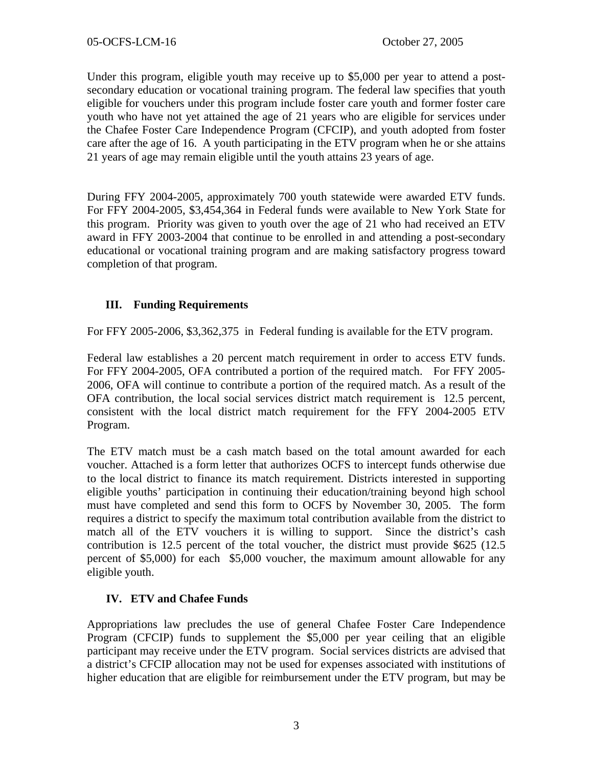Under this program, eligible youth may receive up to \$5,000 per year to attend a postsecondary education or vocational training program. The federal law specifies that youth eligible for vouchers under this program include foster care youth and former foster care youth who have not yet attained the age of 21 years who are eligible for services under the Chafee Foster Care Independence Program (CFCIP), and youth adopted from foster care after the age of 16. A youth participating in the ETV program when he or she attains 21 years of age may remain eligible until the youth attains 23 years of age.

During FFY 2004-2005, approximately 700 youth statewide were awarded ETV funds. For FFY 2004-2005, \$3,454,364 in Federal funds were available to New York State for this program. Priority was given to youth over the age of 21 who had received an ETV award in FFY 2003-2004 that continue to be enrolled in and attending a post-secondary educational or vocational training program and are making satisfactory progress toward completion of that program.

## **III. Funding Requirements**

For FFY 2005-2006, \$3,362,375 in Federal funding is available for the ETV program.

Federal law establishes a 20 percent match requirement in order to access ETV funds. For FFY 2004-2005, OFA contributed a portion of the required match. For FFY 2005- 2006, OFA will continue to contribute a portion of the required match. As a result of the OFA contribution, the local social services district match requirement is 12.5 percent, consistent with the local district match requirement for the FFY 2004-2005 ETV Program.

The ETV match must be a cash match based on the total amount awarded for each voucher. Attached is a form letter that authorizes OCFS to intercept funds otherwise due to the local district to finance its match requirement. Districts interested in supporting eligible youths' participation in continuing their education/training beyond high school must have completed and send this form to OCFS by November 30, 2005. The form requires a district to specify the maximum total contribution available from the district to match all of the ETV vouchers it is willing to support. Since the district's cash contribution is 12.5 percent of the total voucher, the district must provide \$625 (12.5 percent of \$5,000) for each \$5,000 voucher, the maximum amount allowable for any eligible youth.

## **IV. ETV and Chafee Funds**

Appropriations law precludes the use of general Chafee Foster Care Independence Program (CFCIP) funds to supplement the \$5,000 per year ceiling that an eligible participant may receive under the ETV program. Social services districts are advised that a district's CFCIP allocation may not be used for expenses associated with institutions of higher education that are eligible for reimbursement under the ETV program, but may be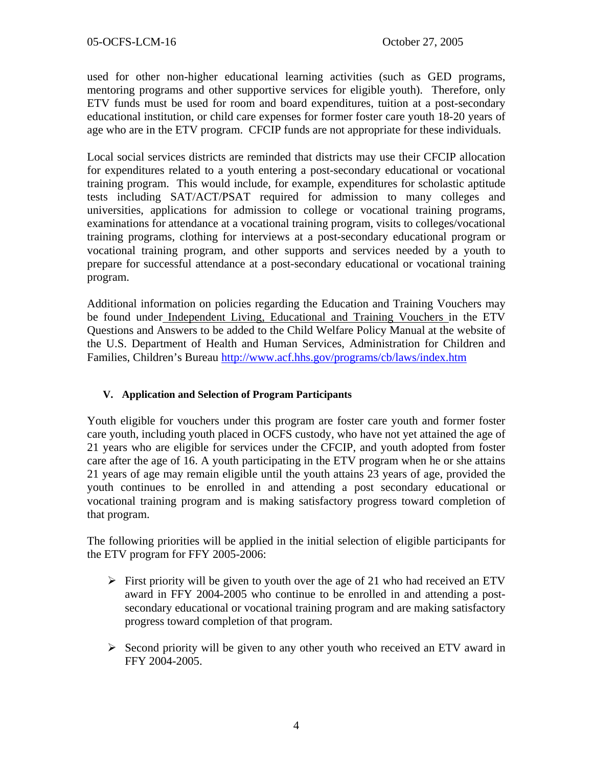used for other non-higher educational learning activities (such as GED programs, mentoring programs and other supportive services for eligible youth). Therefore, only ETV funds must be used for room and board expenditures, tuition at a post-secondary educational institution, or child care expenses for former foster care youth 18-20 years of age who are in the ETV program. CFCIP funds are not appropriate for these individuals.

Local social services districts are reminded that districts may use their CFCIP allocation for expenditures related to a youth entering a post-secondary educational or vocational training program. This would include, for example, expenditures for scholastic aptitude tests including SAT/ACT/PSAT required for admission to many colleges and universities, applications for admission to college or vocational training programs, examinations for attendance at a vocational training program, visits to colleges/vocational training programs, clothing for interviews at a post-secondary educational program or vocational training program, and other supports and services needed by a youth to prepare for successful attendance at a post-secondary educational or vocational training program.

Additional information on policies regarding the Education and Training Vouchers may be found under Independent Living, Educational and Training Vouchers in the ETV Questions and Answers to be added to the Child Welfare Policy Manual at the website of the U.S. Department of Health and Human Services, Administration for Children and Families, Children's Bureau <http://www.acf.hhs.gov/programs/cb/laws/index.htm>

## **V. Application and Selection of Program Participants**

Youth eligible for vouchers under this program are foster care youth and former foster care youth, including youth placed in OCFS custody, who have not yet attained the age of 21 years who are eligible for services under the CFCIP, and youth adopted from foster care after the age of 16. A youth participating in the ETV program when he or she attains 21 years of age may remain eligible until the youth attains 23 years of age, provided the youth continues to be enrolled in and attending a post secondary educational or vocational training program and is making satisfactory progress toward completion of that program.

The following priorities will be applied in the initial selection of eligible participants for the ETV program for FFY 2005-2006:

- $\triangleright$  First priority will be given to youth over the age of 21 who had received an ETV award in FFY 2004-2005 who continue to be enrolled in and attending a postsecondary educational or vocational training program and are making satisfactory progress toward completion of that program.
- $\triangleright$  Second priority will be given to any other youth who received an ETV award in FFY 2004-2005.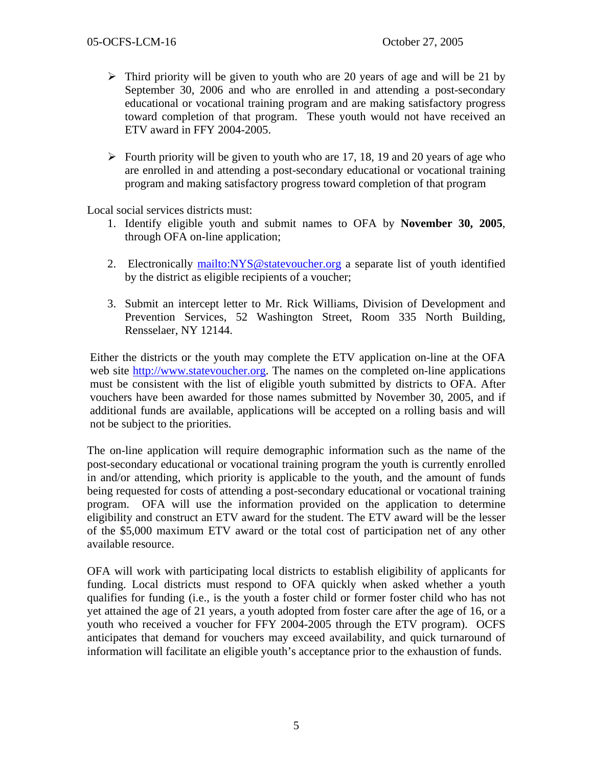- $\triangleright$  Third priority will be given to youth who are 20 years of age and will be 21 by September 30, 2006 and who are enrolled in and attending a post-secondary educational or vocational training program and are making satisfactory progress toward completion of that program. These youth would not have received an ETV award in FFY 2004-2005.
- $\triangleright$  Fourth priority will be given to youth who are 17, 18, 19 and 20 years of age who are enrolled in and attending a post-secondary educational or vocational training program and making satisfactory progress toward completion of that program

Local social services districts must:

- 1. Identify eligible youth and submit names to OFA by **November 30, 2005**, through OFA on-line application;
- 2. Electronically <mailto:NYS@statevoucher.org>a separate list of youth identified by the district as eligible recipients of a voucher;
- 3. Submit an intercept letter to Mr. Rick Williams, Division of Development and Prevention Services, 52 Washington Street, Room 335 North Building, Rensselaer, NY 12144.

Either the districts or the youth may complete the ETV application on-line at the OFA web site [http://www.statevoucher.org.](http://www.statevoucher.org/) The names on the completed on-line applications must be consistent with the list of eligible youth submitted by districts to OFA. After vouchers have been awarded for those names submitted by November 30, 2005, and if additional funds are available, applications will be accepted on a rolling basis and will not be subject to the priorities.

The on-line application will require demographic information such as the name of the post-secondary educational or vocational training program the youth is currently enrolled in and/or attending, which priority is applicable to the youth, and the amount of funds being requested for costs of attending a post-secondary educational or vocational training program. OFA will use the information provided on the application to determine eligibility and construct an ETV award for the student. The ETV award will be the lesser of the \$5,000 maximum ETV award or the total cost of participation net of any other available resource.

OFA will work with participating local districts to establish eligibility of applicants for funding. Local districts must respond to OFA quickly when asked whether a youth qualifies for funding (i.e., is the youth a foster child or former foster child who has not yet attained the age of 21 years, a youth adopted from foster care after the age of 16, or a youth who received a voucher for FFY 2004-2005 through the ETV program). OCFS anticipates that demand for vouchers may exceed availability, and quick turnaround of information will facilitate an eligible youth's acceptance prior to the exhaustion of funds.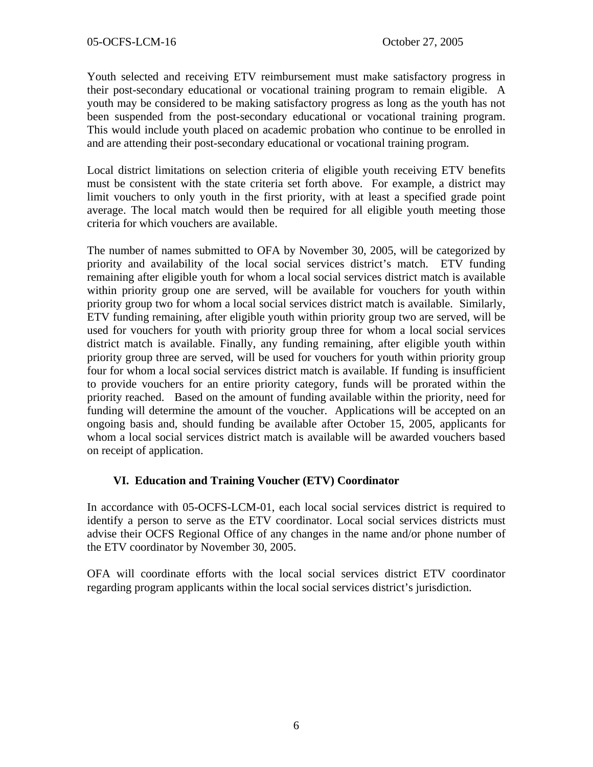Youth selected and receiving ETV reimbursement must make satisfactory progress in their post-secondary educational or vocational training program to remain eligible. A youth may be considered to be making satisfactory progress as long as the youth has not been suspended from the post-secondary educational or vocational training program. This would include youth placed on academic probation who continue to be enrolled in and are attending their post-secondary educational or vocational training program.

Local district limitations on selection criteria of eligible youth receiving ETV benefits must be consistent with the state criteria set forth above. For example, a district may limit vouchers to only youth in the first priority, with at least a specified grade point average. The local match would then be required for all eligible youth meeting those criteria for which vouchers are available.

The number of names submitted to OFA by November 30, 2005, will be categorized by priority and availability of the local social services district's match. ETV funding remaining after eligible youth for whom a local social services district match is available within priority group one are served, will be available for vouchers for youth within priority group two for whom a local social services district match is available. Similarly, ETV funding remaining, after eligible youth within priority group two are served, will be used for vouchers for youth with priority group three for whom a local social services district match is available. Finally, any funding remaining, after eligible youth within priority group three are served, will be used for vouchers for youth within priority group four for whom a local social services district match is available. If funding is insufficient to provide vouchers for an entire priority category, funds will be prorated within the priority reached. Based on the amount of funding available within the priority, need for funding will determine the amount of the voucher. Applications will be accepted on an ongoing basis and, should funding be available after October 15, 2005, applicants for whom a local social services district match is available will be awarded vouchers based on receipt of application.

#### **VI. Education and Training Voucher (ETV) Coordinator**

In accordance with 05-OCFS-LCM-01, each local social services district is required to identify a person to serve as the ETV coordinator. Local social services districts must advise their OCFS Regional Office of any changes in the name and/or phone number of the ETV coordinator by November 30, 2005.

OFA will coordinate efforts with the local social services district ETV coordinator regarding program applicants within the local social services district's jurisdiction.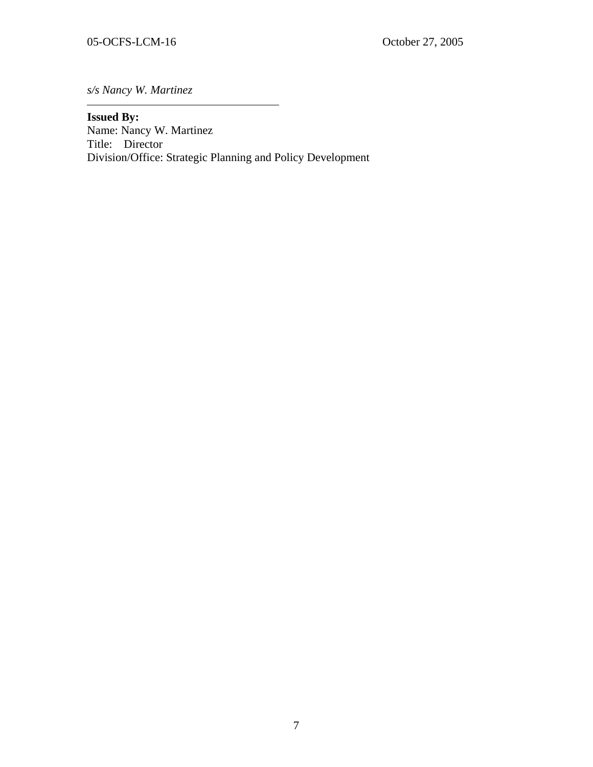*s/s Nancy W. Martinez* 

#### **Issued By:**

Name: Nancy W. Martinez Title: Director Division/Office: Strategic Planning and Policy Development